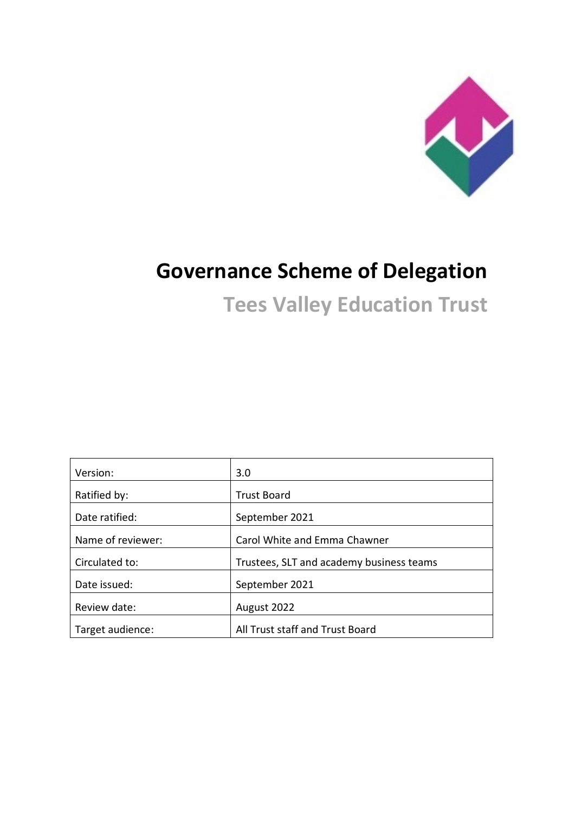

# **Governance Scheme of Delegation**

**Tees Valley Education Trust**

| Version:          | 3.0                                      |
|-------------------|------------------------------------------|
| Ratified by:      | <b>Trust Board</b>                       |
| Date ratified:    | September 2021                           |
| Name of reviewer: | Carol White and Emma Chawner             |
| Circulated to:    | Trustees, SLT and academy business teams |
| Date issued:      | September 2021                           |
| Review date:      | August 2022                              |
| Target audience:  | All Trust staff and Trust Board          |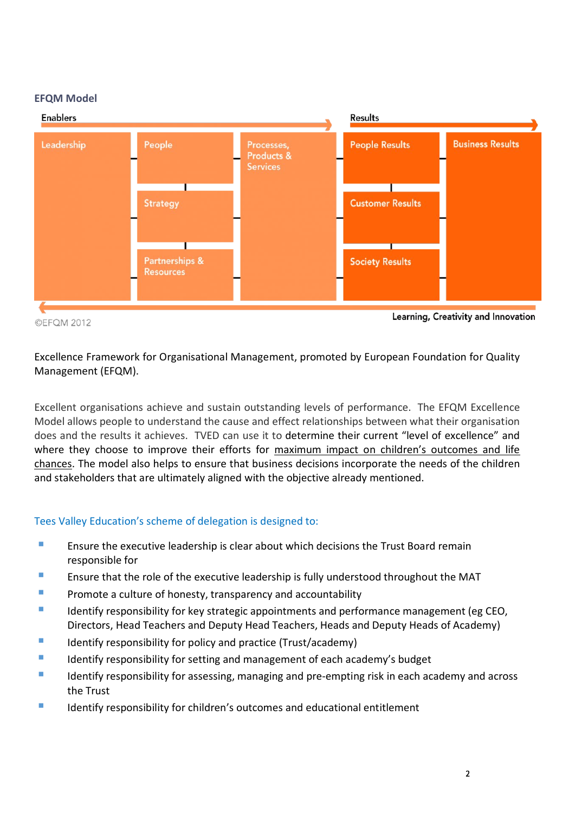#### **EFQM Model**



©EFQM 2012

Learning, Creativity and Innovation

## [Excellence](https://en.wikipedia.org/wiki/Excellence) [Framework](https://en.wikipedia.org/wiki/Conceptual_framework) for [Organisational](https://en.wikipedia.org/wiki/Organizational_theory) [Management,](https://en.wikipedia.org/wiki/Management) promoted by [European Foundation for Quality](https://en.wikipedia.org/wiki/European_Foundation_for_Quality_Management)  [Management](https://en.wikipedia.org/wiki/European_Foundation_for_Quality_Management) (EFQM).

Excellent organisations achieve and sustain outstanding levels of performance. The EFQM Excellence Model allows people to understand the cause and effect relationships between what their organisation does and the results it achieves. TVED can use it to determine their current "level of excellence" and where they choose to improve their efforts for maximum impact on children's outcomes and life chances. The model also helps to ensure that business decisions incorporate the needs of the children and stakeholders that are ultimately aligned with the objective already mentioned.

#### Tees Valley Education's scheme of delegation is designed to:

- **Ensure the executive leadership is clear about which decisions the Trust Board remain** responsible for
- **Ensure that the role of the executive leadership is fully understood throughout the MAT**
- **Promote a culture of honesty, transparency and accountability**
- Identify responsibility for key strategic appointments and performance management (eg CEO, Directors, Head Teachers and Deputy Head Teachers, Heads and Deputy Heads of Academy)
- **IDENTIFY Identify responsibility for policy and practice (Trust/academy)**
- I Identify responsibility for setting and management of each academy's budget
- I Identify responsibility for assessing, managing and pre-empting risk in each academy and across the Trust
- **IDENTIFY IDENTIFY** responsibility for children's outcomes and educational entitlement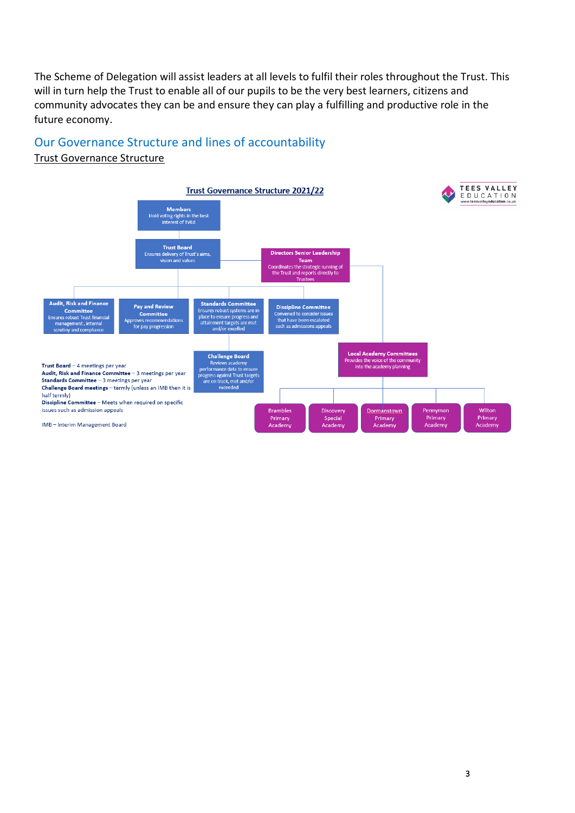The Scheme of Delegation will assist leaders at all levels to fulfil their roles throughout the Trust. This will in turn help the Trust to enable all of our pupils to be the very best learners, citizens and community advocates they can be and ensure they can play a fulfilling and productive role in the future economy.

## Our Governance Structure and lines of accountability

#### Trust Governance Structure

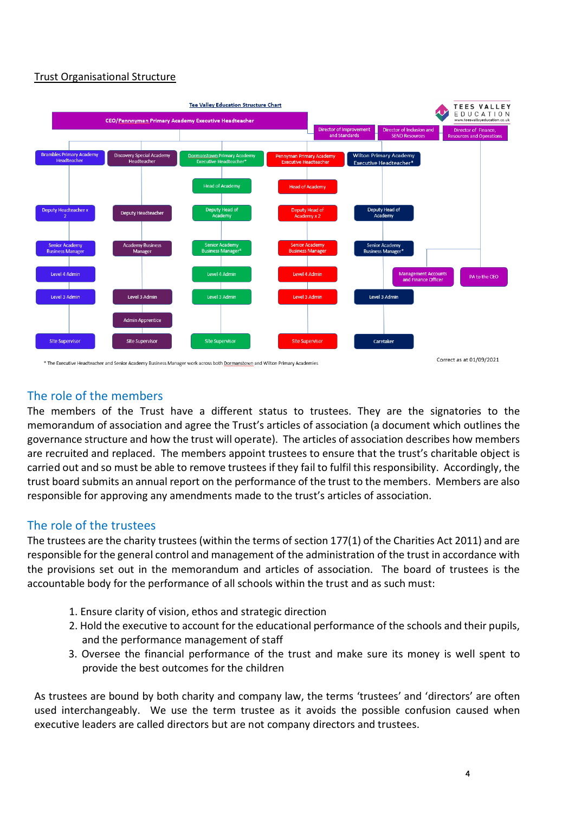#### Trust Organisational Structure

![](_page_3_Figure_1.jpeg)

### The role of the members

The members of the Trust have a different status to trustees. They are the signatories to the memorandum of association and agree the Trust's articles of association (a document which outlines the governance structure and how the trust will operate). The articles of association describes how members are recruited and replaced. The members appoint trustees to ensure that the trust's charitable object is carried out and so must be able to remove trustees if they fail to fulfil this responsibility. Accordingly, the trust board submits an annual report on the performance of the trust to the members. Members are also responsible for approving any amendments made to the trust's articles of association.

## The role of the trustees

The trustees are the charity trustees (within the terms of section 177(1) of the Charities Act 2011) and are responsible for the general control and management of the administration of the trust in accordance with the provisions set out in the memorandum and articles of association. The board of trustees is the accountable body for the performance of all schools within the trust and as such must:

- 1. Ensure clarity of vision, ethos and strategic direction
- 2. Hold the executive to account for the educational performance of the schools and their pupils, and the performance management of staff
- 3. Oversee the financial performance of the trust and make sure its money is well spent to provide the best outcomes for the children

As trustees are bound by both charity and company law, the terms 'trustees' and 'directors' are often used interchangeably. We use the term trustee as it avoids the possible confusion caused when executive leaders are called directors but are not company directors and trustees.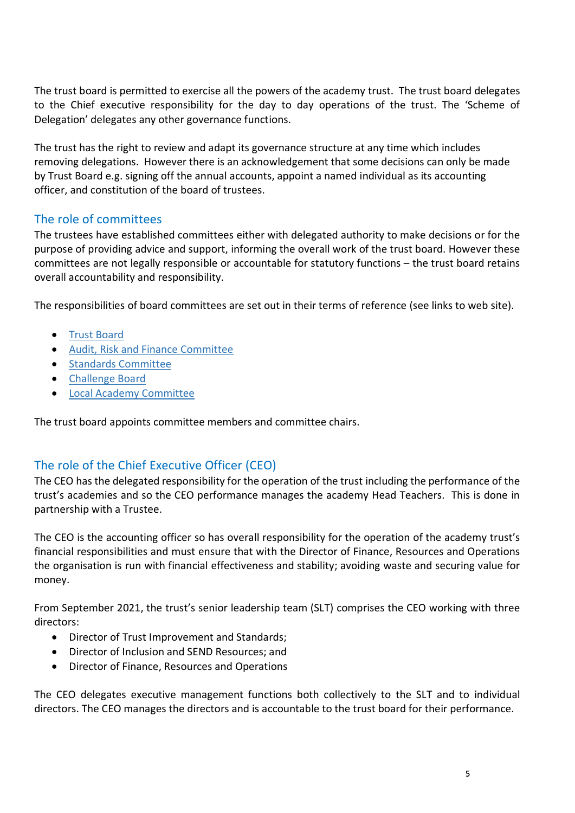The trust board is permitted to exercise all the powers of the academy trust. The trust board delegates to the Chief executive responsibility for the day to day operations of the trust. The 'Scheme of Delegation' delegates any other governance functions.

The trust has the right to review and adapt its governance structure at any time which includes removing delegations. However there is an acknowledgement that some decisions can only be made by Trust Board e.g. signing off the annual accounts, appoint a named individual as its accounting officer, and constitution of the board of trustees.

## The role of committees

The trustees have established committees either with delegated authority to make decisions or for the purpose of providing advice and support, informing the overall work of the trust board. However these committees are not legally responsible or accountable for statutory functions – the trust board retains overall accountability and responsibility.

The responsibilities of board committees are set out in their terms of reference (see links to web site).

- [Trust Board](https://www.teesvalleyeducation.co.uk/governance/board-delegation/)
- [Audit, Risk and Finance Committee](https://www.teesvalleyeducation.co.uk/governance/board-delegation/)
- [Standards Committee](https://www.teesvalleyeducation.co.uk/governance/board-delegation/)
- [Challenge Board](https://www.teesvalleyeducation.co.uk/governance/board-delegation/)
- [Local Academy Committee](https://www.teesvalleyeducation.co.uk/governance/board-delegation/)

The trust board appoints committee members and committee chairs.

## The role of the Chief Executive Officer (CEO)

The CEO has the delegated responsibility for the operation of the trust including the performance of the trust's academies and so the CEO performance manages the academy Head Teachers. This is done in partnership with a Trustee.

The CEO is the accounting officer so has overall responsibility for the operation of the academy trust's financial responsibilities and must ensure that with the Director of Finance, Resources and Operations the organisation is run with financial effectiveness and stability; avoiding waste and securing value for money.

From September 2021, the trust's senior leadership team (SLT) comprises the CEO working with three directors:

- Director of Trust Improvement and Standards;
- Director of Inclusion and SEND Resources; and
- Director of Finance, Resources and Operations

The CEO delegates executive management functions both collectively to the SLT and to individual directors. The CEO manages the directors and is accountable to the trust board for their performance.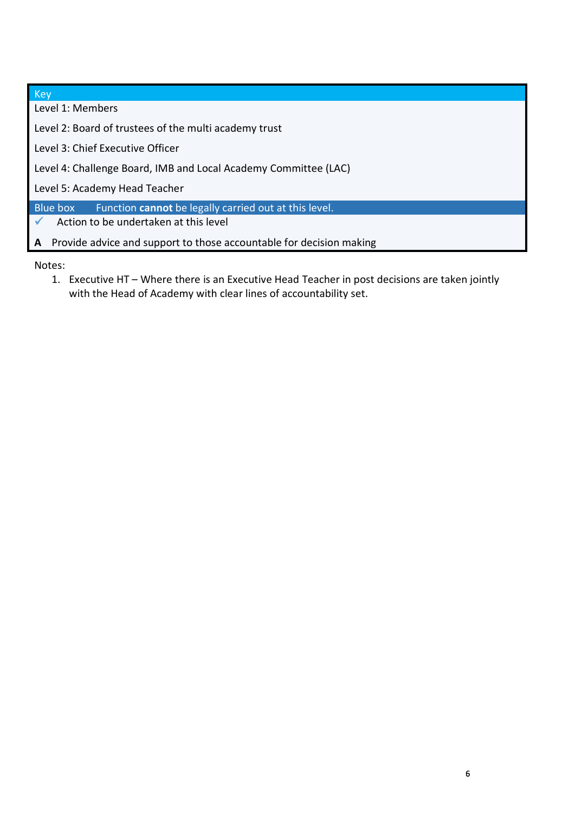| Key                                                                      |  |  |  |  |  |  |
|--------------------------------------------------------------------------|--|--|--|--|--|--|
| Level 1: Members                                                         |  |  |  |  |  |  |
| Level 2: Board of trustees of the multi academy trust                    |  |  |  |  |  |  |
| Level 3: Chief Executive Officer                                         |  |  |  |  |  |  |
| Level 4: Challenge Board, IMB and Local Academy Committee (LAC)          |  |  |  |  |  |  |
| Level 5: Academy Head Teacher                                            |  |  |  |  |  |  |
| Function cannot be legally carried out at this level.<br>Blue box        |  |  |  |  |  |  |
| Action to be undertaken at this level                                    |  |  |  |  |  |  |
| Provide advice and support to those accountable for decision making<br>A |  |  |  |  |  |  |

Notes:

1. Executive HT – Where there is an Executive Head Teacher in post decisions are taken jointly with the Head of Academy with clear lines of accountability set.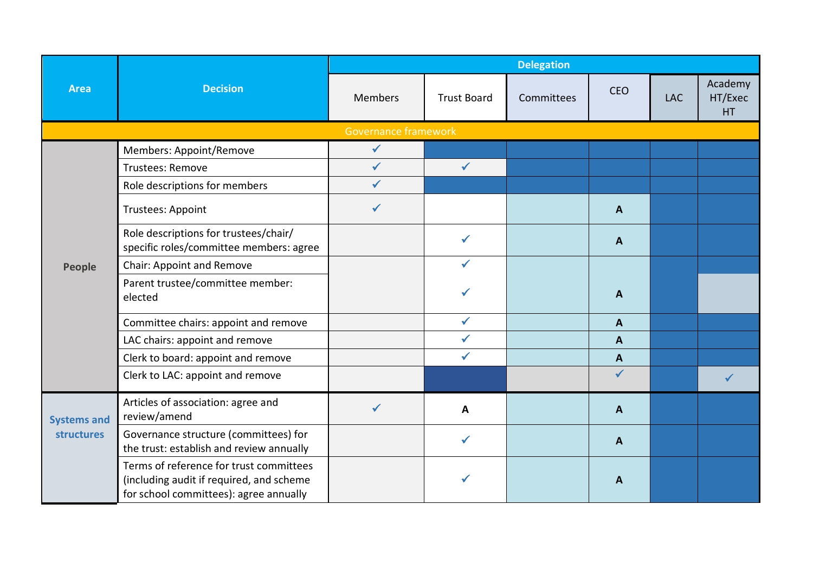|                    | <b>Decision</b>                                                                                                               |                             | <b>Delegation</b>  |            |                  |            |                          |  |  |  |
|--------------------|-------------------------------------------------------------------------------------------------------------------------------|-----------------------------|--------------------|------------|------------------|------------|--------------------------|--|--|--|
| <b>Area</b>        |                                                                                                                               | <b>Members</b>              | <b>Trust Board</b> | Committees | <b>CEO</b>       | <b>LAC</b> | Academy<br>HT/Exec<br>HT |  |  |  |
|                    |                                                                                                                               | <b>Governance framework</b> |                    |            |                  |            |                          |  |  |  |
|                    | Members: Appoint/Remove                                                                                                       | $\checkmark$                |                    |            |                  |            |                          |  |  |  |
|                    | Trustees: Remove                                                                                                              | $\checkmark$                | $\checkmark$       |            |                  |            |                          |  |  |  |
|                    | Role descriptions for members                                                                                                 | $\checkmark$                |                    |            |                  |            |                          |  |  |  |
| <b>People</b>      | <b>Trustees: Appoint</b>                                                                                                      | $\checkmark$                |                    |            | A                |            |                          |  |  |  |
|                    | Role descriptions for trustees/chair/<br>specific roles/committee members: agree                                              |                             | $\checkmark$       |            | A                |            |                          |  |  |  |
|                    | Chair: Appoint and Remove                                                                                                     |                             | ✓                  |            |                  |            |                          |  |  |  |
|                    | Parent trustee/committee member:<br>elected                                                                                   |                             |                    |            | A                |            |                          |  |  |  |
|                    | Committee chairs: appoint and remove                                                                                          |                             | $\checkmark$       |            | A                |            |                          |  |  |  |
|                    | LAC chairs: appoint and remove                                                                                                |                             | $\checkmark$       |            | $\boldsymbol{A}$ |            |                          |  |  |  |
|                    | Clerk to board: appoint and remove                                                                                            |                             | $\checkmark$       |            | $\boldsymbol{A}$ |            |                          |  |  |  |
|                    | Clerk to LAC: appoint and remove                                                                                              |                             |                    |            | $\checkmark$     |            |                          |  |  |  |
| <b>Systems and</b> | Articles of association: agree and<br>review/amend                                                                            | ✔                           | A                  |            | A                |            |                          |  |  |  |
| <b>structures</b>  | Governance structure (committees) for<br>the trust: establish and review annually                                             |                             | $\checkmark$       |            | A                |            |                          |  |  |  |
|                    | Terms of reference for trust committees<br>(including audit if required, and scheme<br>for school committees): agree annually |                             |                    |            | A                |            |                          |  |  |  |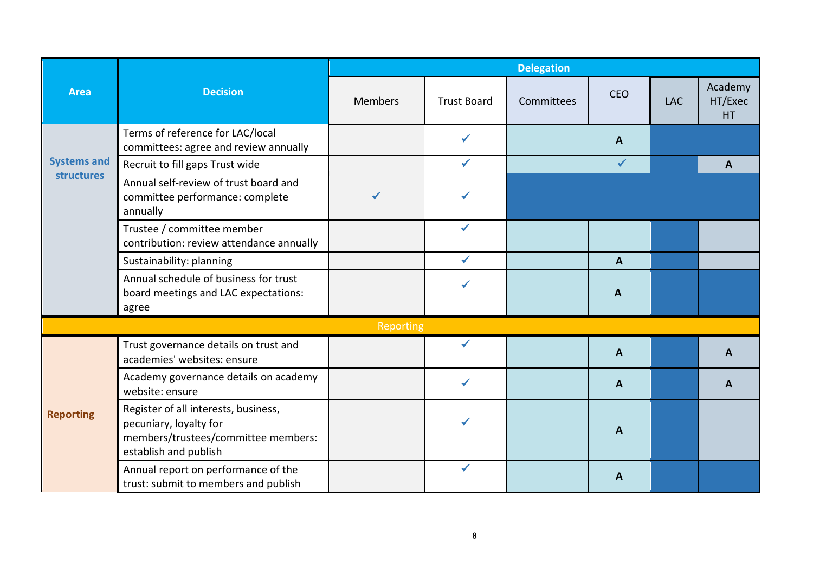|                    |                                                                                                                                | <b>Delegation</b> |                    |            |              |            |                           |  |
|--------------------|--------------------------------------------------------------------------------------------------------------------------------|-------------------|--------------------|------------|--------------|------------|---------------------------|--|
| <b>Area</b>        | <b>Decision</b>                                                                                                                | <b>Members</b>    | <b>Trust Board</b> | Committees | <b>CEO</b>   | <b>LAC</b> | Academy<br>HT/Exec<br>HT. |  |
|                    | Terms of reference for LAC/local<br>committees: agree and review annually                                                      |                   | ✓                  |            | A            |            |                           |  |
| <b>Systems and</b> | Recruit to fill gaps Trust wide                                                                                                |                   | $\checkmark$       |            | $\checkmark$ |            | A                         |  |
| <b>structures</b>  | Annual self-review of trust board and<br>committee performance: complete<br>annually                                           |                   |                    |            |              |            |                           |  |
|                    | Trustee / committee member<br>contribution: review attendance annually                                                         |                   |                    |            |              |            |                           |  |
|                    | Sustainability: planning                                                                                                       |                   | $\checkmark$       |            | $\mathbf{A}$ |            |                           |  |
|                    | Annual schedule of business for trust<br>board meetings and LAC expectations:<br>agree                                         |                   |                    |            | A            |            |                           |  |
|                    |                                                                                                                                | Reporting         |                    |            |              |            |                           |  |
|                    | Trust governance details on trust and<br>academies' websites: ensure                                                           |                   | ✓                  |            | $\mathbf{A}$ |            | A                         |  |
|                    | Academy governance details on academy<br>website: ensure                                                                       |                   | $\checkmark$       |            | A            |            | A                         |  |
| <b>Reporting</b>   | Register of all interests, business,<br>pecuniary, loyalty for<br>members/trustees/committee members:<br>establish and publish |                   |                    |            | A            |            |                           |  |
|                    | Annual report on performance of the<br>trust: submit to members and publish                                                    |                   | ✔                  |            | A            |            |                           |  |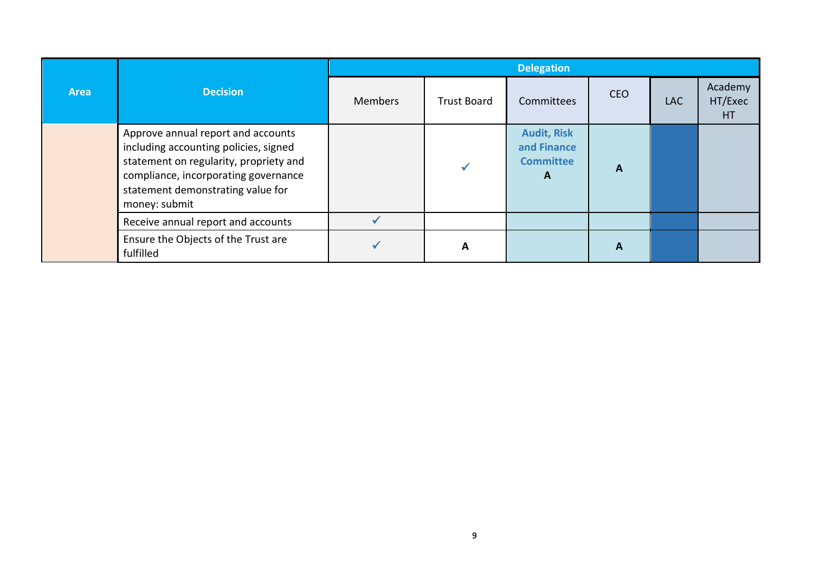|             |                                                                                                                                                                                                                     | <b>Delegation</b> |                    |                                                                       |            |            |                           |  |  |
|-------------|---------------------------------------------------------------------------------------------------------------------------------------------------------------------------------------------------------------------|-------------------|--------------------|-----------------------------------------------------------------------|------------|------------|---------------------------|--|--|
| <b>Area</b> | <b>Decision</b>                                                                                                                                                                                                     | <b>Members</b>    | <b>Trust Board</b> | Committees                                                            | <b>CEO</b> | <b>LAC</b> | Academy<br>HT/Exec<br>HT. |  |  |
|             | Approve annual report and accounts<br>including accounting policies, signed<br>statement on regularity, propriety and<br>compliance, incorporating governance<br>statement demonstrating value for<br>money: submit |                   |                    | <b>Audit, Risk</b><br>and Finance<br><b>Committee</b><br>$\mathbf{A}$ | A          |            |                           |  |  |
|             | Receive annual report and accounts                                                                                                                                                                                  |                   |                    |                                                                       |            |            |                           |  |  |
|             | Ensure the Objects of the Trust are<br>fulfilled                                                                                                                                                                    |                   | A                  |                                                                       | A          |            |                           |  |  |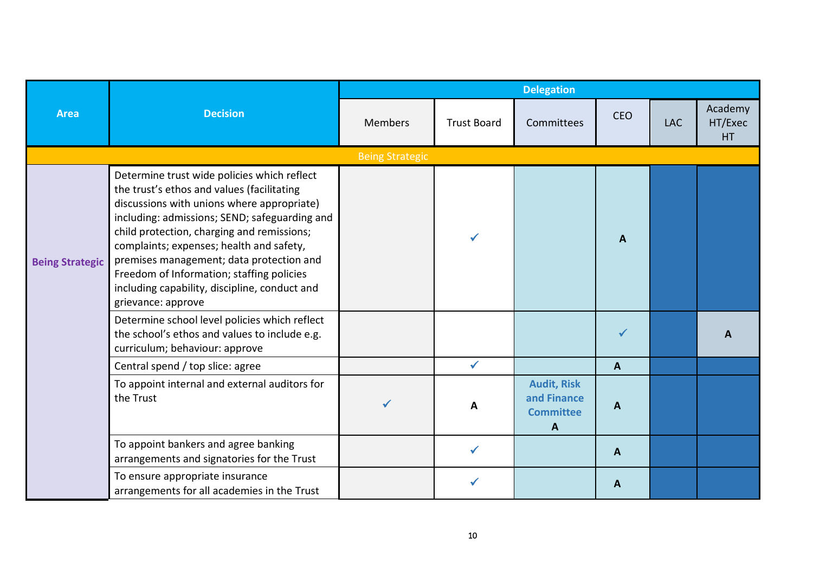|                        | <b>Decision</b>                                                                                                                                                                                                                                                                                                                                                                                                                                    |                        |                    | <b>Delegation</b>                                          |                  |            |                                 |  |  |  |  |
|------------------------|----------------------------------------------------------------------------------------------------------------------------------------------------------------------------------------------------------------------------------------------------------------------------------------------------------------------------------------------------------------------------------------------------------------------------------------------------|------------------------|--------------------|------------------------------------------------------------|------------------|------------|---------------------------------|--|--|--|--|
| <b>Area</b>            |                                                                                                                                                                                                                                                                                                                                                                                                                                                    | Members                | <b>Trust Board</b> | Committees                                                 | <b>CEO</b>       | <b>LAC</b> | Academy<br>HT/Exec<br><b>HT</b> |  |  |  |  |
|                        |                                                                                                                                                                                                                                                                                                                                                                                                                                                    | <b>Being Strategic</b> |                    |                                                            |                  |            |                                 |  |  |  |  |
| <b>Being Strategic</b> | Determine trust wide policies which reflect<br>the trust's ethos and values (facilitating<br>discussions with unions where appropriate)<br>including: admissions; SEND; safeguarding and<br>child protection, charging and remissions;<br>complaints; expenses; health and safety,<br>premises management; data protection and<br>Freedom of Information; staffing policies<br>including capability, discipline, conduct and<br>grievance: approve |                        |                    |                                                            | $\mathbf{A}$     |            |                                 |  |  |  |  |
|                        | Determine school level policies which reflect<br>the school's ethos and values to include e.g.<br>curriculum; behaviour: approve                                                                                                                                                                                                                                                                                                                   |                        |                    |                                                            |                  |            | A                               |  |  |  |  |
|                        | Central spend / top slice: agree                                                                                                                                                                                                                                                                                                                                                                                                                   |                        | $\checkmark$       |                                                            | A                |            |                                 |  |  |  |  |
|                        | To appoint internal and external auditors for<br>the Trust                                                                                                                                                                                                                                                                                                                                                                                         |                        | A                  | <b>Audit, Risk</b><br>and Finance<br><b>Committee</b><br>A | $\mathbf{A}$     |            |                                 |  |  |  |  |
|                        | To appoint bankers and agree banking<br>arrangements and signatories for the Trust                                                                                                                                                                                                                                                                                                                                                                 |                        | $\checkmark$       |                                                            | $\boldsymbol{A}$ |            |                                 |  |  |  |  |
|                        | To ensure appropriate insurance<br>arrangements for all academies in the Trust                                                                                                                                                                                                                                                                                                                                                                     |                        |                    |                                                            | A                |            |                                 |  |  |  |  |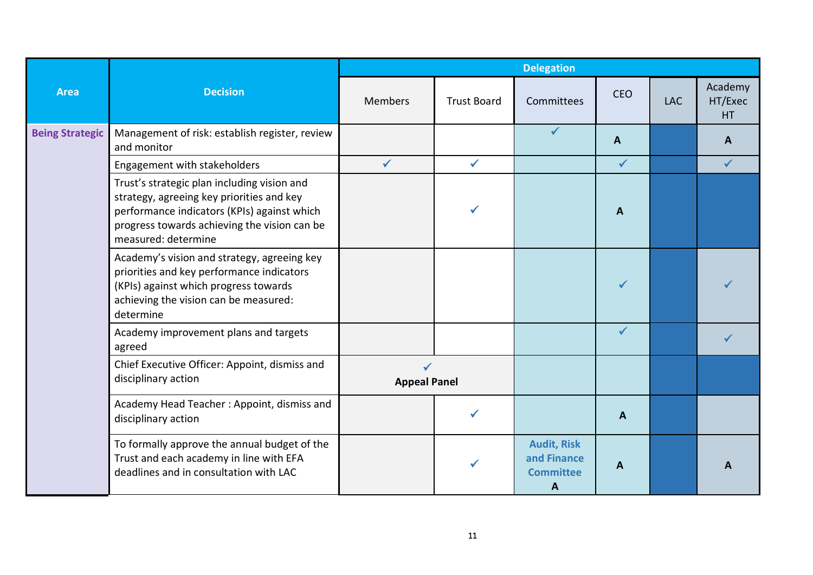|                        | <b>Decision</b>                                                                                                                                                                                                | <b>Delegation</b>                   |                    |                                                            |              |            |                                 |  |
|------------------------|----------------------------------------------------------------------------------------------------------------------------------------------------------------------------------------------------------------|-------------------------------------|--------------------|------------------------------------------------------------|--------------|------------|---------------------------------|--|
| <b>Area</b>            |                                                                                                                                                                                                                | <b>Members</b>                      | <b>Trust Board</b> | Committees                                                 | <b>CEO</b>   | <b>LAC</b> | Academy<br>HT/Exec<br><b>HT</b> |  |
| <b>Being Strategic</b> | Management of risk: establish register, review<br>and monitor                                                                                                                                                  |                                     |                    | $\checkmark$                                               | A            |            | A                               |  |
|                        | Engagement with stakeholders                                                                                                                                                                                   | $\checkmark$                        | $\checkmark$       |                                                            | $\checkmark$ |            | $\checkmark$                    |  |
|                        | Trust's strategic plan including vision and<br>strategy, agreeing key priorities and key<br>performance indicators (KPIs) against which<br>progress towards achieving the vision can be<br>measured: determine |                                     |                    |                                                            | A            |            |                                 |  |
|                        | Academy's vision and strategy, agreeing key<br>priorities and key performance indicators<br>(KPIs) against which progress towards<br>achieving the vision can be measured:<br>determine                        |                                     |                    |                                                            |              |            |                                 |  |
|                        | Academy improvement plans and targets<br>agreed                                                                                                                                                                |                                     |                    |                                                            | $\checkmark$ |            |                                 |  |
|                        | Chief Executive Officer: Appoint, dismiss and<br>disciplinary action                                                                                                                                           | $\checkmark$<br><b>Appeal Panel</b> |                    |                                                            |              |            |                                 |  |
|                        | Academy Head Teacher: Appoint, dismiss and<br>disciplinary action                                                                                                                                              |                                     |                    |                                                            | A            |            |                                 |  |
|                        | To formally approve the annual budget of the<br>Trust and each academy in line with EFA<br>deadlines and in consultation with LAC                                                                              |                                     |                    | <b>Audit, Risk</b><br>and Finance<br><b>Committee</b><br>A | A            |            | А                               |  |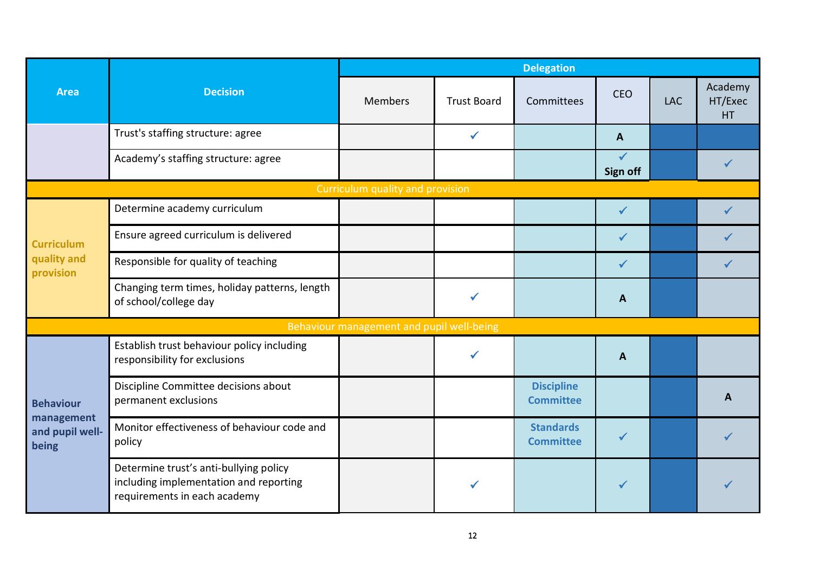|                                               |                                                                                                                  | <b>Delegation</b>                         |                    |                                       |                                 |            |                                 |  |
|-----------------------------------------------|------------------------------------------------------------------------------------------------------------------|-------------------------------------------|--------------------|---------------------------------------|---------------------------------|------------|---------------------------------|--|
| <b>Area</b>                                   | <b>Decision</b>                                                                                                  | <b>Members</b>                            | <b>Trust Board</b> | Committees                            | <b>CEO</b>                      | <b>LAC</b> | Academy<br>HT/Exec<br><b>HT</b> |  |
|                                               | Trust's staffing structure: agree                                                                                |                                           | $\checkmark$       |                                       | $\mathbf{A}$                    |            |                                 |  |
|                                               | Academy's staffing structure: agree                                                                              |                                           |                    |                                       | $\checkmark$<br><b>Sign off</b> |            |                                 |  |
|                                               |                                                                                                                  | Curriculum quality and provision          |                    |                                       |                                 |            |                                 |  |
| <b>Curriculum</b><br>quality and<br>provision | Determine academy curriculum                                                                                     |                                           |                    |                                       |                                 |            |                                 |  |
|                                               | Ensure agreed curriculum is delivered                                                                            |                                           |                    |                                       | $\checkmark$                    |            |                                 |  |
|                                               | Responsible for quality of teaching                                                                              |                                           |                    |                                       | $\checkmark$                    |            |                                 |  |
|                                               | Changing term times, holiday patterns, length<br>of school/college day                                           |                                           | ✓                  |                                       | A                               |            |                                 |  |
|                                               |                                                                                                                  | Behaviour management and pupil well-being |                    |                                       |                                 |            |                                 |  |
|                                               | Establish trust behaviour policy including<br>responsibility for exclusions                                      |                                           |                    |                                       | $\mathbf{A}$                    |            |                                 |  |
| <b>Behaviour</b>                              | Discipline Committee decisions about<br>permanent exclusions                                                     |                                           |                    | <b>Discipline</b><br><b>Committee</b> |                                 |            | A                               |  |
| management<br>and pupil well-<br>being        | Monitor effectiveness of behaviour code and<br>policy                                                            |                                           |                    | <b>Standards</b><br><b>Committee</b>  | $\checkmark$                    |            |                                 |  |
|                                               | Determine trust's anti-bullying policy<br>including implementation and reporting<br>requirements in each academy |                                           | ✔                  |                                       |                                 |            |                                 |  |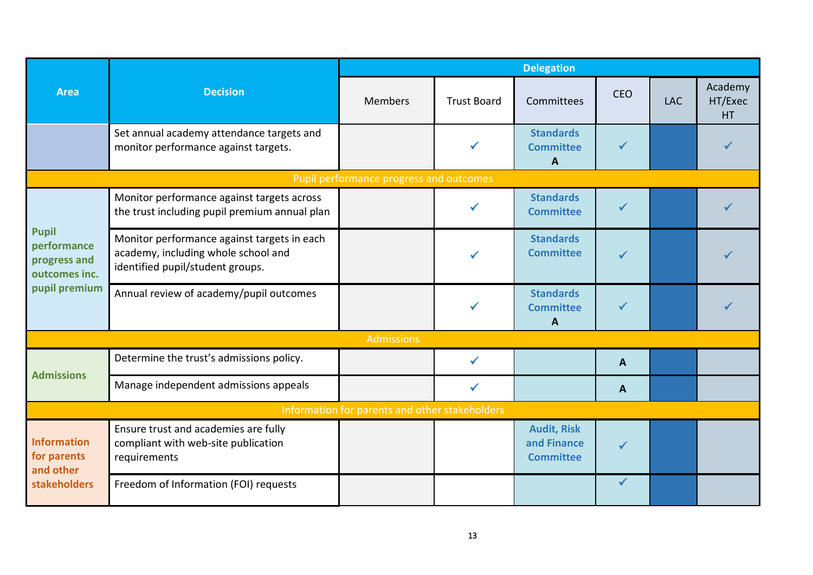|                                                                               |                                                                                                                        | <b>Delegation</b>                              |                    |                                                       |              |            |                                 |  |
|-------------------------------------------------------------------------------|------------------------------------------------------------------------------------------------------------------------|------------------------------------------------|--------------------|-------------------------------------------------------|--------------|------------|---------------------------------|--|
| <b>Area</b>                                                                   | <b>Decision</b>                                                                                                        | <b>Members</b>                                 | <b>Trust Board</b> | Committees                                            | <b>CEO</b>   | <b>LAC</b> | Academy<br>HT/Exec<br><b>HT</b> |  |
|                                                                               | Set annual academy attendance targets and<br>monitor performance against targets.                                      |                                                | ✓                  | <b>Standards</b><br><b>Committee</b><br>$\mathbf{A}$  | ✔            |            |                                 |  |
|                                                                               |                                                                                                                        | Pupil performance progress and outcomes        |                    |                                                       |              |            |                                 |  |
| <b>Pupil</b><br>performance<br>progress and<br>outcomes inc.<br>pupil premium | Monitor performance against targets across<br>the trust including pupil premium annual plan                            |                                                |                    | <b>Standards</b><br><b>Committee</b>                  |              |            |                                 |  |
|                                                                               | Monitor performance against targets in each<br>academy, including whole school and<br>identified pupil/student groups. |                                                |                    | <b>Standards</b><br><b>Committee</b>                  |              |            |                                 |  |
|                                                                               | Annual review of academy/pupil outcomes                                                                                |                                                |                    | <b>Standards</b><br><b>Committee</b><br>A             |              |            |                                 |  |
|                                                                               |                                                                                                                        | <b>Admissions</b>                              |                    |                                                       |              |            |                                 |  |
| <b>Admissions</b>                                                             | Determine the trust's admissions policy.                                                                               |                                                |                    |                                                       | $\mathbf{A}$ |            |                                 |  |
|                                                                               | Manage independent admissions appeals                                                                                  |                                                |                    |                                                       | A            |            |                                 |  |
|                                                                               |                                                                                                                        | Information for parents and other stakeholders |                    |                                                       |              |            |                                 |  |
| Information<br>for parents<br>and other                                       | Ensure trust and academies are fully<br>compliant with web-site publication<br>requirements                            |                                                |                    | <b>Audit, Risk</b><br>and Finance<br><b>Committee</b> | $\checkmark$ |            |                                 |  |
| stakeholders                                                                  | Freedom of Information (FOI) requests                                                                                  |                                                |                    |                                                       | $\checkmark$ |            |                                 |  |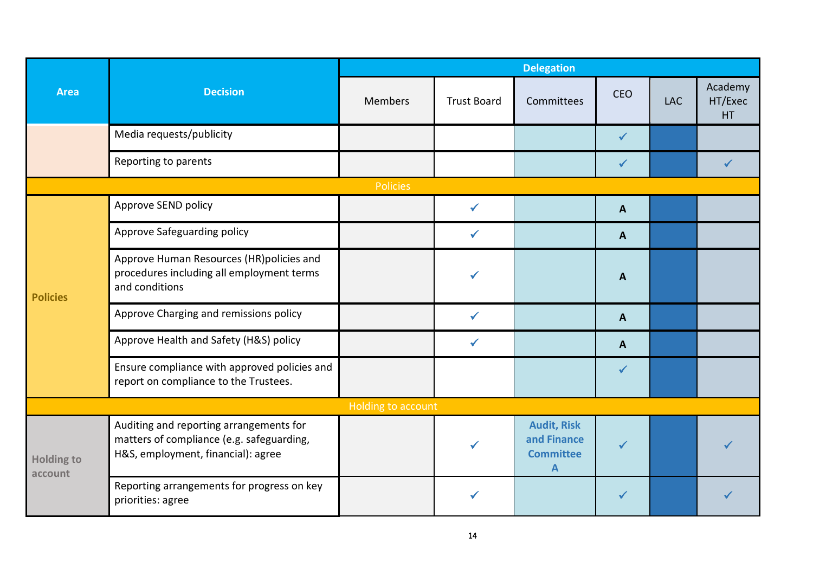|                                | <b>Decision</b>                                                                                                            | <b>Delegation</b>  |                    |                                                            |                |            |                                 |  |
|--------------------------------|----------------------------------------------------------------------------------------------------------------------------|--------------------|--------------------|------------------------------------------------------------|----------------|------------|---------------------------------|--|
| <b>Area</b><br><b>Policies</b> |                                                                                                                            | Members            | <b>Trust Board</b> | Committees                                                 | <b>CEO</b>     | <b>LAC</b> | Academy<br>HT/Exec<br><b>HT</b> |  |
|                                | Media requests/publicity                                                                                                   |                    |                    |                                                            | $\checkmark$   |            |                                 |  |
|                                | Reporting to parents                                                                                                       |                    |                    |                                                            |                |            |                                 |  |
|                                |                                                                                                                            | Policies           |                    |                                                            |                |            |                                 |  |
|                                | Approve SEND policy                                                                                                        |                    | ✓                  |                                                            | $\mathbf{A}$   |            |                                 |  |
|                                | Approve Safeguarding policy                                                                                                |                    |                    |                                                            | $\mathbf{A}$   |            |                                 |  |
|                                | Approve Human Resources (HR)policies and<br>procedures including all employment terms<br>and conditions                    |                    |                    |                                                            | $\overline{A}$ |            |                                 |  |
|                                | Approve Charging and remissions policy                                                                                     |                    | ✔                  |                                                            | $\mathbf{A}$   |            |                                 |  |
|                                | Approve Health and Safety (H&S) policy                                                                                     |                    | ✓                  |                                                            | $\mathbf{A}$   |            |                                 |  |
|                                | Ensure compliance with approved policies and<br>report on compliance to the Trustees.                                      |                    |                    |                                                            | $\checkmark$   |            |                                 |  |
|                                |                                                                                                                            | Holding to account |                    |                                                            |                |            |                                 |  |
| <b>Holding to</b><br>account   | Auditing and reporting arrangements for<br>matters of compliance (e.g. safeguarding,<br>H&S, employment, financial): agree |                    |                    | <b>Audit, Risk</b><br>and Finance<br><b>Committee</b><br>A | $\checkmark$   |            |                                 |  |
|                                | Reporting arrangements for progress on key<br>priorities: agree                                                            |                    |                    |                                                            |                |            |                                 |  |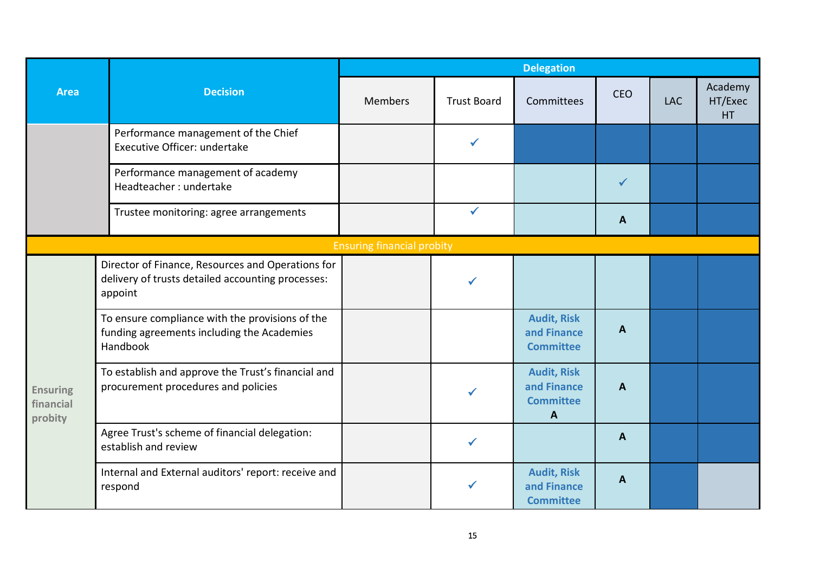|                                                        |                                                                                                                   | <b>Delegation</b>                 |                    |                                                            |            |            |                           |  |
|--------------------------------------------------------|-------------------------------------------------------------------------------------------------------------------|-----------------------------------|--------------------|------------------------------------------------------------|------------|------------|---------------------------|--|
| <b>Area</b><br><b>Ensuring</b><br>financial<br>probity | <b>Decision</b>                                                                                                   | <b>Members</b>                    | <b>Trust Board</b> | Committees                                                 | <b>CEO</b> | <b>LAC</b> | Academy<br>HT/Exec<br>HT. |  |
|                                                        | Performance management of the Chief<br>Executive Officer: undertake                                               |                                   |                    |                                                            |            |            |                           |  |
|                                                        | Performance management of academy<br>Headteacher: undertake                                                       |                                   |                    |                                                            |            |            |                           |  |
|                                                        | Trustee monitoring: agree arrangements                                                                            |                                   | $\checkmark$       |                                                            | A          |            |                           |  |
|                                                        |                                                                                                                   | <b>Ensuring financial probity</b> |                    |                                                            |            |            |                           |  |
|                                                        | Director of Finance, Resources and Operations for<br>delivery of trusts detailed accounting processes:<br>appoint |                                   |                    |                                                            |            |            |                           |  |
|                                                        | To ensure compliance with the provisions of the<br>funding agreements including the Academies<br>Handbook         |                                   |                    | <b>Audit, Risk</b><br>and Finance<br><b>Committee</b>      | A          |            |                           |  |
|                                                        | To establish and approve the Trust's financial and<br>procurement procedures and policies                         |                                   |                    | <b>Audit, Risk</b><br>and Finance<br><b>Committee</b><br>A | A          |            |                           |  |
|                                                        | Agree Trust's scheme of financial delegation:<br>establish and review                                             |                                   | $\checkmark$       |                                                            | A          |            |                           |  |
|                                                        | Internal and External auditors' report: receive and<br>respond                                                    |                                   |                    | <b>Audit, Risk</b><br>and Finance<br><b>Committee</b>      | A          |            |                           |  |